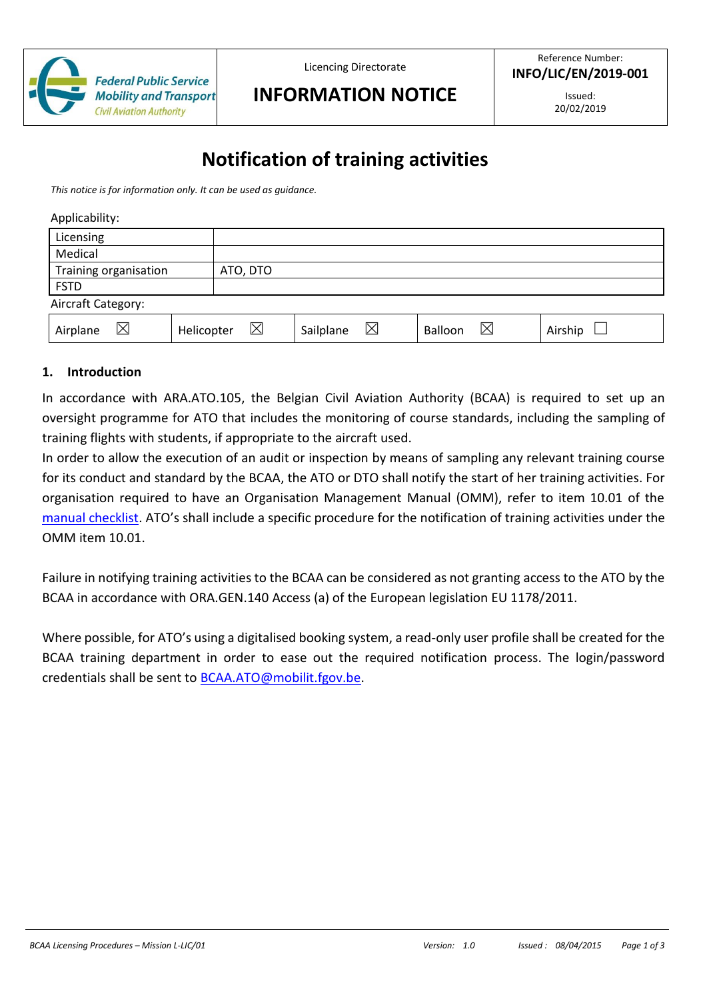

Licencing Directorate

## **INFORMATION NOTICE**

Issued: 20/02/2019

# **Notification of training activities**

*This notice is for information only. It can be used as guidance.*

|  | Applicability: |
|--|----------------|
|  |                |

| Licensing             |            |             |           |   |         |             |         |
|-----------------------|------------|-------------|-----------|---|---------|-------------|---------|
| Medical               |            |             |           |   |         |             |         |
| Training organisation |            | ATO, DTO    |           |   |         |             |         |
| <b>FSTD</b>           |            |             |           |   |         |             |         |
| Aircraft Category:    |            |             |           |   |         |             |         |
| ⊠<br>Airplane         | Helicopter | $\boxtimes$ | Sailplane | ⊠ | Balloon | $\boxtimes$ | Airship |

#### **1. Introduction**

In accordance with ARA.ATO.105, the Belgian Civil Aviation Authority (BCAA) is required to set up an oversight programme for ATO that includes the monitoring of course standards, including the sampling of training flights with students, if appropriate to the aircraft used.

In order to allow the execution of an audit or inspection by means of sampling any relevant training course for its conduct and standard by the BCAA, the ATO or DTO shall notify the start of her training activities. For organisation required to have an Organisation Management Manual (OMM), refer to item 10.01 of the [manual checklist.](https://mobilit.belgium.be/fr/transport_aerien/licences/https:/mobilit.belgium.be/fr/transport_aerien/licences/centres_de_formation/ato_approved_training_organisation/procedures_atocentres_de_formation/ato_approved_training_organisation/procedures_ato) ATO's shall include a specific procedure for the notification of training activities under the OMM item 10.01.

Failure in notifying training activities to the BCAA can be considered as not granting access to the ATO by the BCAA in accordance with ORA.GEN.140 Access (a) of the European legislation EU 1178/2011.

Where possible, for ATO's using a digitalised booking system, a read-only user profile shall be created for the BCAA training department in order to ease out the required notification process. The login/password credentials shall be sent to [BCAA.ATO@mobilit.fgov.be.](mailto:BCAA.ATO@mobilit.fgov.be)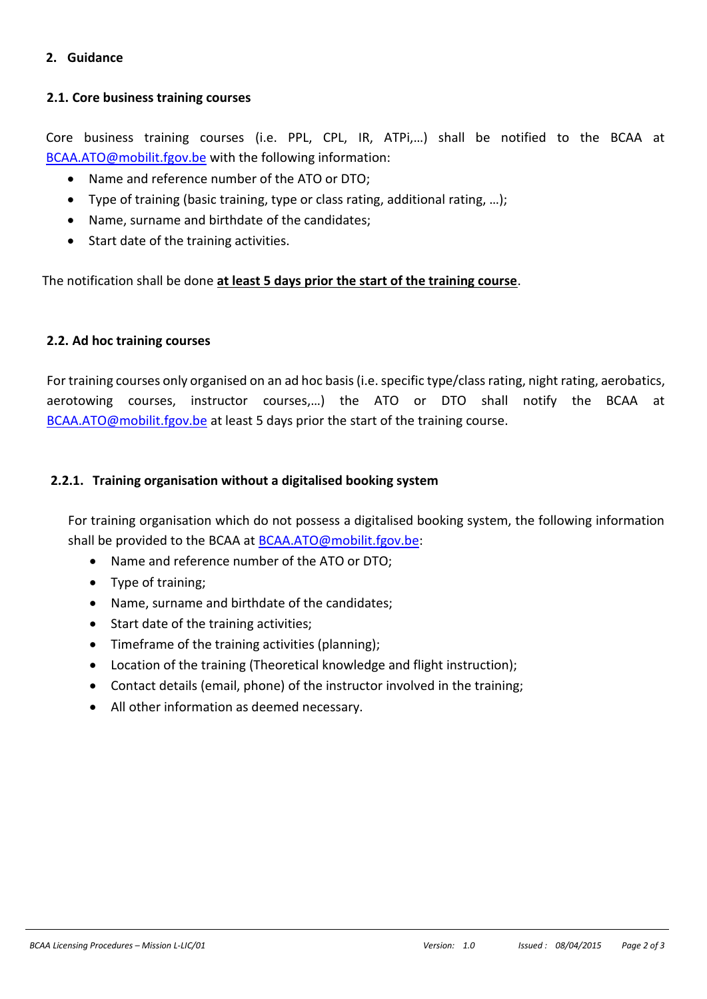#### **2. Guidance**

### **2.1. Core business training courses**

Core business training courses (i.e. PPL, CPL, IR, ATPi,…) shall be notified to the BCAA at [BCAA.ATO@mobilit.fgov.be](mailto:BCAA.ATO@mobilit.fgov.be) with the following information:

- Name and reference number of the ATO or DTO;
- Type of training (basic training, type or class rating, additional rating, …);
- Name, surname and birthdate of the candidates;
- Start date of the training activities.

The notification shall be done **at least 5 days prior the start of the training course**.

#### **2.2. Ad hoc training courses**

For training courses only organised on an ad hoc basis (i.e. specific type/class rating, night rating, aerobatics, aerotowing courses, instructor courses,…) the ATO or DTO shall notify the BCAA at [BCAA.ATO@mobilit.fgov.be](mailto:BCAA.ATO@mobilit.fgov.be) at least 5 days prior the start of the training course.

### **2.2.1. Training organisation without a digitalised booking system**

For training organisation which do not possess a digitalised booking system, the following information shall be provided to the BCAA a[t BCAA.ATO@mobilit.fgov.be:](mailto:BCAA.ATO@mobilit.fgov.be)

- Name and reference number of the ATO or DTO;
- Type of training;
- Name, surname and birthdate of the candidates;
- Start date of the training activities;
- Timeframe of the training activities (planning);
- Location of the training (Theoretical knowledge and flight instruction);
- Contact details (email, phone) of the instructor involved in the training;
- All other information as deemed necessary.